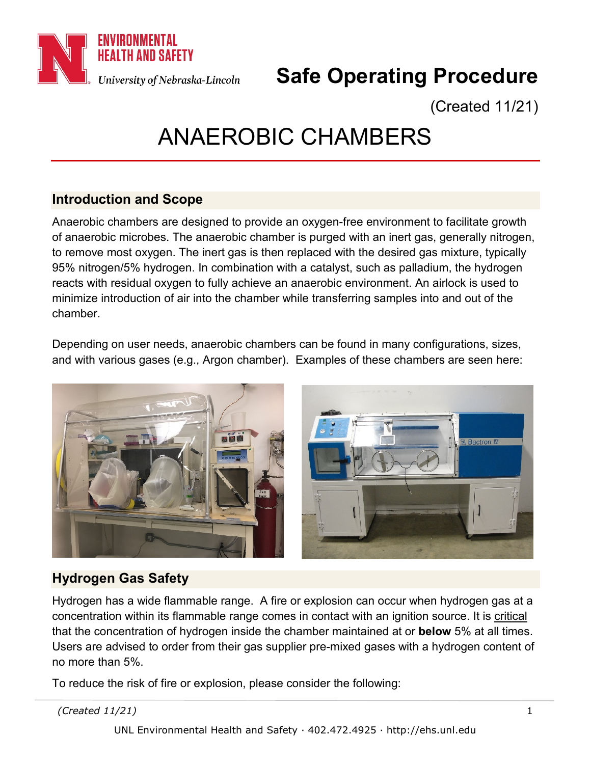

# **Safe Operating Procedure**

(Created 11/21)

# ANAEROBIC CHAMBERS

# **Introduction and Scope**

Anaerobic chambers are designed to provide an oxygen-free environment to facilitate growth of anaerobic microbes. The anaerobic chamber is purged with an inert gas, generally nitrogen, to remove most oxygen. The inert gas is then replaced with the desired gas mixture, typically 95% nitrogen/5% hydrogen. In combination with a catalyst, such as palladium, the hydrogen reacts with residual oxygen to fully achieve an anaerobic environment. An airlock is used to minimize introduction of air into the chamber while transferring samples into and out of the chamber.

Depending on user needs, anaerobic chambers can be found in many configurations, sizes, and with various gases (e.g., Argon chamber). Examples of these chambers are seen here:



# **Hydrogen Gas Safety**

Hydrogen has a wide flammable range. A fire or explosion can occur when hydrogen gas at a concentration within its flammable range comes in contact with an ignition source. It is critical that the concentration of hydrogen inside the chamber maintained at or **below** 5% at all times. Users are advised to order from their gas supplier pre-mixed gases with a hydrogen content of no more than 5%.

To reduce the risk of fire or explosion, please consider the following: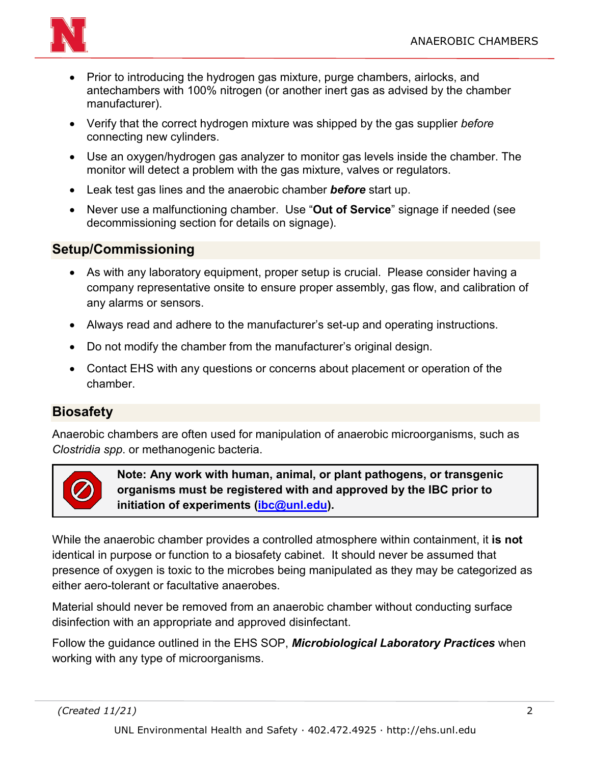

- Prior to introducing the hydrogen gas mixture, purge chambers, airlocks, and antechambers with 100% nitrogen (or another inert gas as advised by the chamber manufacturer).
- Verify that the correct hydrogen mixture was shipped by the gas supplier *before* connecting new cylinders.
- Use an oxygen/hydrogen gas analyzer to monitor gas levels inside the chamber. The monitor will detect a problem with the gas mixture, valves or regulators.
- Leak test gas lines and the anaerobic chamber *before* start up.
- Never use a malfunctioning chamber. Use "**Out of Service**" signage if needed (see decommissioning section for details on signage).

#### **Setup/Commissioning**

- As with any laboratory equipment, proper setup is crucial. Please consider having a company representative onsite to ensure proper assembly, gas flow, and calibration of any alarms or sensors.
- Always read and adhere to the manufacturer's set-up and operating instructions.
- Do not modify the chamber from the manufacturer's original design.
- Contact EHS with any questions or concerns about placement or operation of the chamber.

### **Biosafety**

Anaerobic chambers are often used for manipulation of anaerobic microorganisms, such as *Clostridia spp*. or methanogenic bacteria.



**Note: Any work with human, animal, or plant pathogens, or transgenic organisms must be registered with and approved by the IBC prior to initiation of experiments [\(ibc@unl.edu\)](mailto:ibc@unl.edu).** 

While the anaerobic chamber provides a controlled atmosphere within containment, it **is not** identical in purpose or function to a biosafety cabinet. It should never be assumed that presence of oxygen is toxic to the microbes being manipulated as they may be categorized as either aero-tolerant or facultative anaerobes.

Material should never be removed from an anaerobic chamber without conducting surface disinfection with an appropriate and approved disinfectant.

Follow the guidance outlined in the EHS SOP, *Microbiological Laboratory Practices* when working with any type of microorganisms.